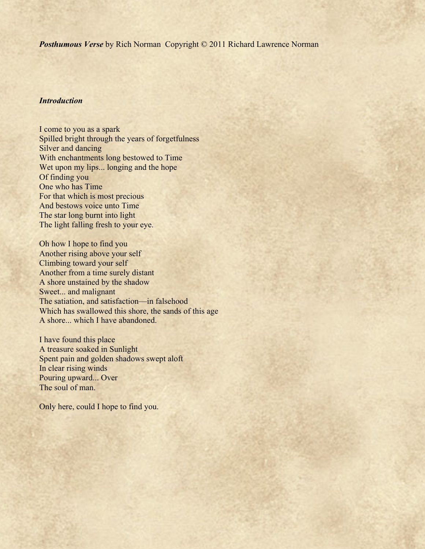*Posthumous Verse* by Rich Norman Copyright © 2011 Richard Lawrence Norman

# *Introduction*

I come to you as a spark Spilled bright through the years of forgetfulness Silver and dancing With enchantments long bestowed to Time Wet upon my lips... longing and the hope Of finding you One who has Time For that which is most precious And bestows voice unto Time The star long burnt into light The light falling fresh to your eye.

Oh how I hope to find you Another rising above your self Climbing toward your self Another from a time surely distant A shore unstained by the shadow Sweet... and malignant The satiation, and satisfaction—in falsehood Which has swallowed this shore, the sands of this age A shore... which I have abandoned.

I have found this place A treasure soaked in Sunlight Spent pain and golden shadows swept aloft In clear rising winds Pouring upward... Over The soul of man.

Only here, could I hope to find you.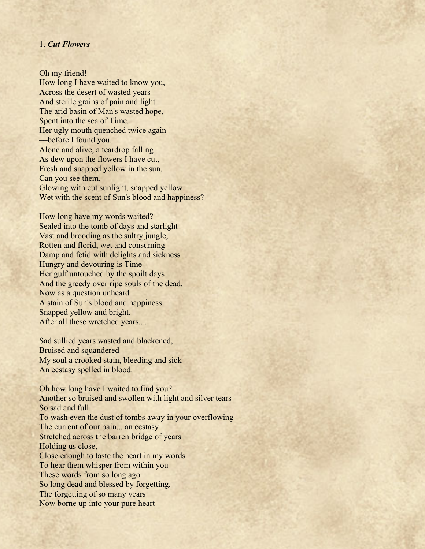### 1. *Cut Flowers*

Oh my friend! How long I have waited to know you, Across the desert of wasted years And sterile grains of pain and light The arid basin of Man's wasted hope, Spent into the sea of Time. Her ugly mouth quenched twice again ––before I found you. Alone and alive, a teardrop falling As dew upon the flowers I have cut, Fresh and snapped yellow in the sun. Can you see them, Glowing with cut sunlight, snapped yellow Wet with the scent of Sun's blood and happiness?

How long have my words waited? Sealed into the tomb of days and starlight Vast and brooding as the sultry jungle, Rotten and florid, wet and consuming Damp and fetid with delights and sickness Hungry and devouring is Time Her gulf untouched by the spoilt days And the greedy over ripe souls of the dead. Now as a question unheard A stain of Sun's blood and happiness Snapped yellow and bright. After all these wretched years.....

Sad sullied years wasted and blackened, Bruised and squandered My soul a crooked stain, bleeding and sick An ecstasy spelled in blood.

Oh how long have I waited to find you? Another so bruised and swollen with light and silver tears So sad and full To wash even the dust of tombs away in your overflowing The current of our pain... an ecstasy Stretched across the barren bridge of years Holding us close, Close enough to taste the heart in my words To hear them whisper from within you These words from so long ago So long dead and blessed by forgetting, The forgetting of so many years Now borne up into your pure heart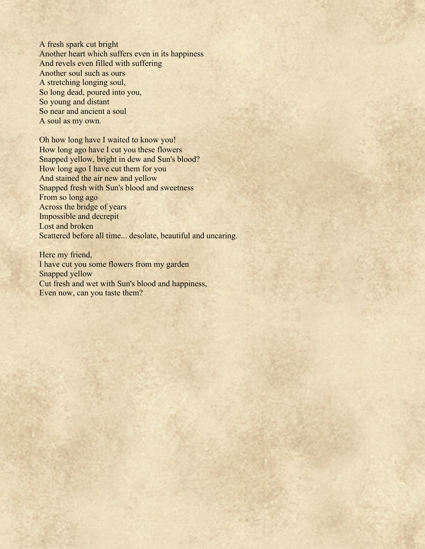A fresh spark cut bright Another heart which suffers even in its happiness And revels even filled with suffering Another soul such as ours A stretching longing soul, So long dead, poured into you, So young and distant So near and ancient a soul A soul as my own.

Oh how long have I waited to know you! How long ago have I cut you these flowers Snapped yellow, bright in dew and Sun's blood? How long ago I have cut them for you And stained the air new and yellow Snapped fresh with Sun's blood and sweetness From so long ago Across the bridge of years Impossible and decrepit Lost and broken Scattered before all time... desolate, beautiful and uncaring.

Here my friend, I have cut you some flowers from my garden Snapped yellow Cut fresh and wet with Sun's blood and happiness, Even now, can you taste them?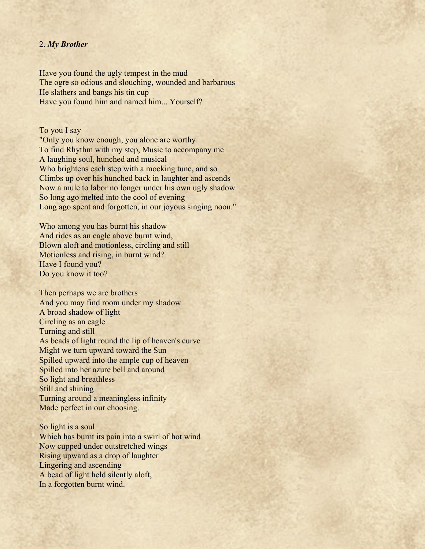## 2. *My Brother*

Have you found the ugly tempest in the mud The ogre so odious and slouching, wounded and barbarous He slathers and bangs his tin cup Have you found him and named him... Yourself?

To you I say

"Only you know enough, you alone are worthy To find Rhythm with my step, Music to accompany me A laughing soul, hunched and musical Who brightens each step with a mocking tune, and so Climbs up over his hunched back in laughter and ascends Now a mule to labor no longer under his own ugly shadow So long ago melted into the cool of evening Long ago spent and forgotten, in our joyous singing noon."

Who among you has burnt his shadow And rides as an eagle above burnt wind, Blown aloft and motionless, circling and still Motionless and rising, in burnt wind? Have I found you? Do you know it too?

Then perhaps we are brothers And you may find room under my shadow A broad shadow of light Circling as an eagle Turning and still As beads of light round the lip of heaven's curve Might we turn upward toward the Sun Spilled upward into the ample cup of heaven Spilled into her azure bell and around So light and breathless Still and shining Turning around a meaningless infinity Made perfect in our choosing.

So light is a soul Which has burnt its pain into a swirl of hot wind Now cupped under outstretched wings Rising upward as a drop of laughter Lingering and ascending A bead of light held silently aloft, In a forgotten burnt wind.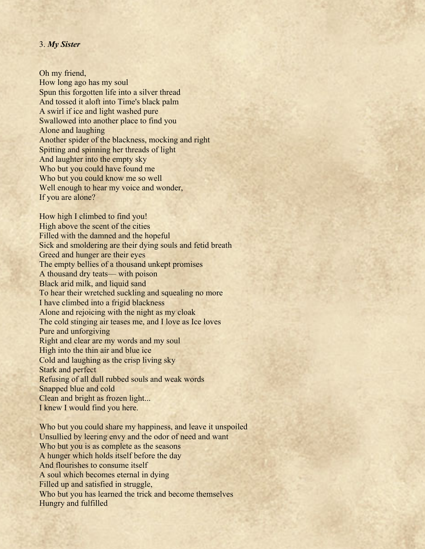### 3. *My Sister*

Oh my friend, How long ago has my soul Spun this forgotten life into a silver thread And tossed it aloft into Time's black palm A swirl if ice and light washed pure Swallowed into another place to find you Alone and laughing Another spider of the blackness, mocking and right Spitting and spinning her threads of light And laughter into the empty sky Who but you could have found me Who but you could know me so well Well enough to hear my voice and wonder, If you are alone?

How high I climbed to find you! High above the scent of the cities Filled with the damned and the hopeful Sick and smoldering are their dying souls and fetid breath Greed and hunger are their eyes The empty bellies of a thousand unkept promises A thousand dry teats— with poison Black arid milk, and liquid sand To hear their wretched suckling and squealing no more I have climbed into a frigid blackness Alone and rejoicing with the night as my cloak The cold stinging air teases me, and I love as Ice loves Pure and unforgiving Right and clear are my words and my soul High into the thin air and blue ice Cold and laughing as the crisp living sky Stark and perfect Refusing of all dull rubbed souls and weak words Snapped blue and cold Clean and bright as frozen light... I knew I would find you here.

Who but you could share my happiness, and leave it unspoiled Unsullied by leering envy and the odor of need and want Who but you is as complete as the seasons A hunger which holds itself before the day And flourishes to consume itself A soul which becomes eternal in dying Filled up and satisfied in struggle, Who but you has learned the trick and become themselves Hungry and fulfilled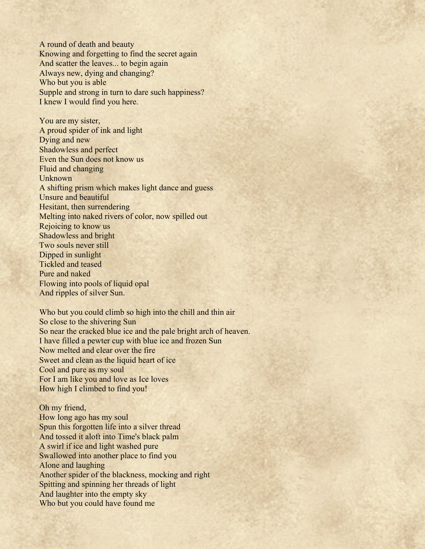A round of death and beauty Knowing and forgetting to find the secret again And scatter the leaves... to begin again Always new, dying and changing? Who but you is able Supple and strong in turn to dare such happiness? I knew I would find you here.

You are my sister, A proud spider of ink and light Dying and new Shadowless and perfect Even the Sun does not know us Fluid and changing Unknown A shifting prism which makes light dance and guess Unsure and beautiful Hesitant, then surrendering Melting into naked rivers of color, now spilled out Rejoicing to know us Shadowless and bright Two souls never still Dipped in sunlight Tickled and teased Pure and naked Flowing into pools of liquid opal And ripples of silver Sun.

Who but you could climb so high into the chill and thin air So close to the shivering Sun So near the cracked blue ice and the pale bright arch of heaven. I have filled a pewter cup with blue ice and frozen Sun Now melted and clear over the fire Sweet and clean as the liquid heart of ice Cool and pure as my soul For I am like you and love as Ice loves How high I climbed to find you!

Oh my friend, How long ago has my soul Spun this forgotten life into a silver thread And tossed it aloft into Time's black palm A swirl if ice and light washed pure Swallowed into another place to find you Alone and laughing Another spider of the blackness, mocking and right Spitting and spinning her threads of light And laughter into the empty sky Who but you could have found me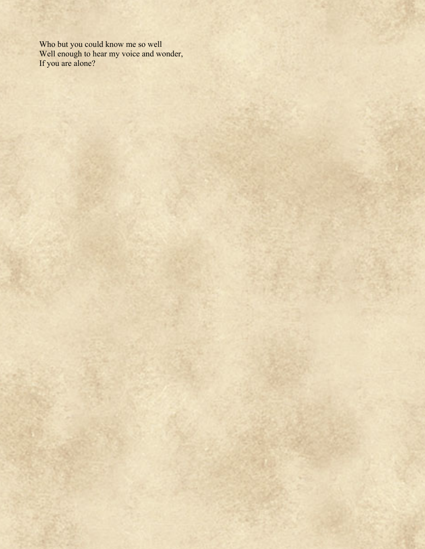Who but you could know me so well Well enough to hear my voice and wonder, If you are alone?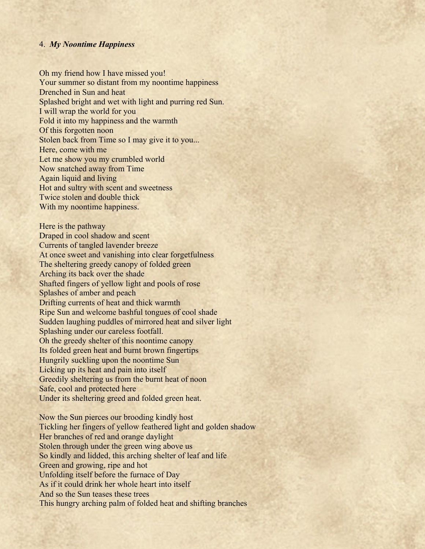### 4. *My Noontime Happiness*

Oh my friend how I have missed you! Your summer so distant from my noontime happiness Drenched in Sun and heat Splashed bright and wet with light and purring red Sun. I will wrap the world for you Fold it into my happiness and the warmth Of this forgotten noon Stolen back from Time so I may give it to you... Here, come with me Let me show you my crumbled world Now snatched away from Time Again liquid and living Hot and sultry with scent and sweetness Twice stolen and double thick With my noontime happiness.

Here is the pathway Draped in cool shadow and scent Currents of tangled lavender breeze At once sweet and vanishing into clear forgetfulness The sheltering greedy canopy of folded green Arching its back over the shade Shafted fingers of yellow light and pools of rose Splashes of amber and peach Drifting currents of heat and thick warmth Ripe Sun and welcome bashful tongues of cool shade Sudden laughing puddles of mirrored heat and silver light Splashing under our careless footfall. Oh the greedy shelter of this noontime canopy Its folded green heat and burnt brown fingertips Hungrily suckling upon the noontime Sun Licking up its heat and pain into itself Greedily sheltering us from the burnt heat of noon Safe, cool and protected here Under its sheltering greed and folded green heat.

Now the Sun pierces our brooding kindly host Tickling her fingers of yellow feathered light and golden shadow Her branches of red and orange daylight Stolen through under the green wing above us So kindly and lidded, this arching shelter of leaf and life Green and growing, ripe and hot Unfolding itself before the furnace of Day As if it could drink her whole heart into itself And so the Sun teases these trees This hungry arching palm of folded heat and shifting branches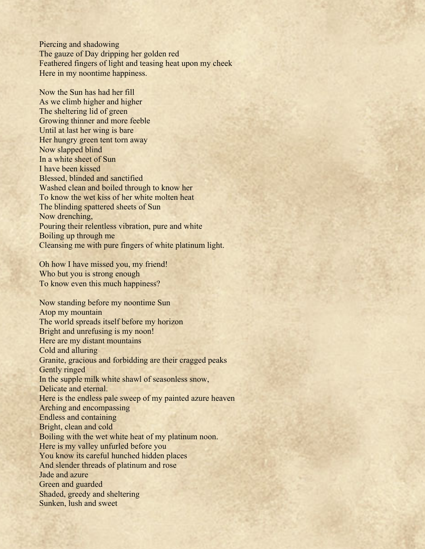Piercing and shadowing The gauze of Day dripping her golden red Feathered fingers of light and teasing heat upon my cheek Here in my noontime happiness.

Now the Sun has had her fill As we climb higher and higher The sheltering lid of green Growing thinner and more feeble Until at last her wing is bare Her hungry green tent torn away Now slapped blind In a white sheet of Sun I have been kissed Blessed, blinded and sanctified Washed clean and boiled through to know her To know the wet kiss of her white molten heat The blinding spattered sheets of Sun Now drenching, Pouring their relentless vibration, pure and white Boiling up through me Cleansing me with pure fingers of white platinum light.

Oh how I have missed you, my friend! Who but you is strong enough To know even this much happiness?

Now standing before my noontime Sun Atop my mountain The world spreads itself before my horizon Bright and unrefusing is my noon! Here are my distant mountains Cold and alluring Granite, gracious and forbidding are their cragged peaks Gently ringed In the supple milk white shawl of seasonless snow, Delicate and eternal. Here is the endless pale sweep of my painted azure heaven Arching and encompassing Endless and containing Bright, clean and cold Boiling with the wet white heat of my platinum noon. Here is my valley unfurled before you You know its careful hunched hidden places And slender threads of platinum and rose Jade and azure Green and guarded Shaded, greedy and sheltering Sunken, lush and sweet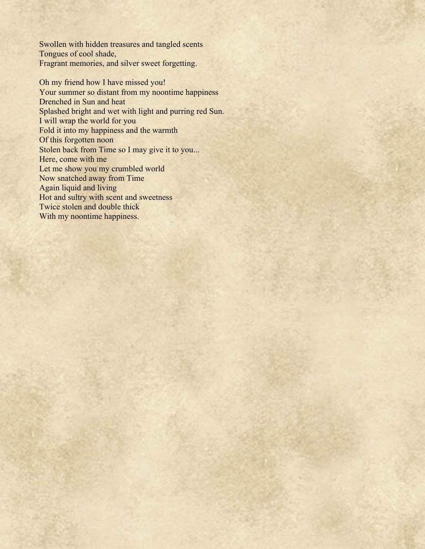Swollen with hidden treasures and tangled scents Tongues of cool shade, Fragrant memories, and silver sweet forgetting.

Oh my friend how I have missed you! Your summer so distant from my noontime happiness Drenched in Sun and heat Splashed bright and wet with light and purring red Sun. I will wrap the world for you Fold it into my happiness and the warmth Of this forgotten noon Stolen back from Time so I may give it to you... Here, come with me Let me show you my crumbled world Now snatched away from Time Again liquid and living Hot and sultry with scent and sweetness Twice stolen and double thick With my noontime happiness.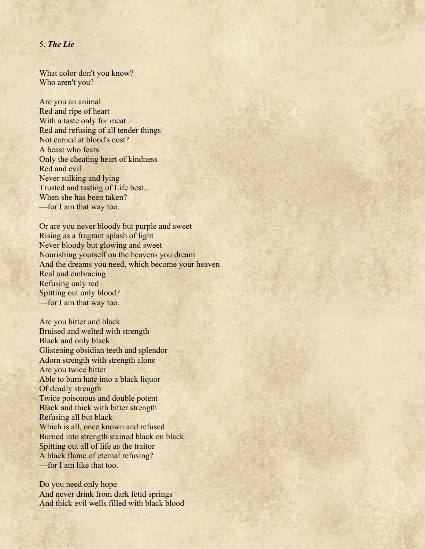## 5. *The Lie*

What color don't you know? Who aren't you?

Are you an animal Red and ripe of heart With a taste only for meat Red and refusing of all tender things Not earned at blood's cost? A beast who fears Only the cheating heart of kindness Red and evil Never sulking and lying Trusted and tasting of Life best... When she has been taken? ––for I am that way too.

Or are you never bloody but purple and sweet Rising as a fragrant splash of light Never bloody but glowing and sweet Nourishing yourself on the heavens you dream And the dreams you need, which become your heaven Real and embracing Refusing only red Spitting out only blood? ––for I am that way too.

Are you bitter and black Bruised and welted with strength Black and only black Glistening obsidian teeth and splendor Adorn strength with strength alone Are you twice bitter Able to burn hate into a black liquor Of deadly strength Twice poisonous and double potent Black and thick with bitter strength Refusing all but black Which is all, once known and refused Burned into strength stained black on black Spitting out all of life as the traitor A black flame of eternal refusing? ––for I am like that too.

Do you need only hope And never drink from dark fetid springs And thick evil wells filled with black blood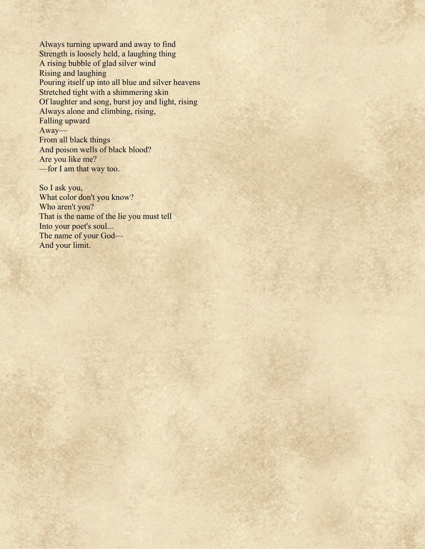Always turning upward and away to find Strength is loosely held, a laughing thing A rising bubble of glad silver wind Rising and laughing Pouring itself up into all blue and silver heavens Stretched tight with a shimmering skin Of laughter and song, burst joy and light, rising Always alone and climbing, rising, Falling upward Away–– From all black things And poison wells of black blood? Are you like me? ––for I am that way too.

So I ask you, What color don't you know? Who aren't you? That is the name of the lie you must tell Into your poet's soul... The name of your God-And your limit.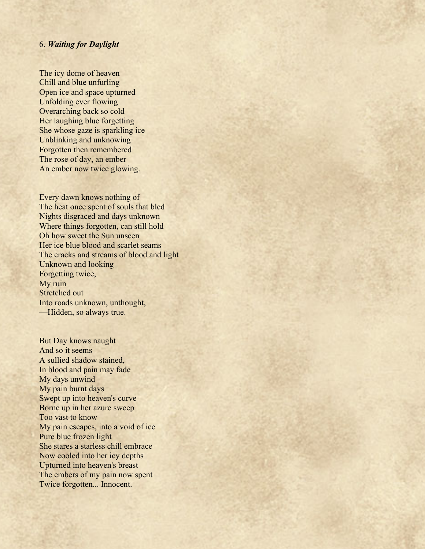### 6. *Waiting for Daylight*

The icy dome of heaven Chill and blue unfurling Open ice and space upturned Unfolding ever flowing Overarching back so cold Her laughing blue forgetting She whose gaze is sparkling ice Unblinking and unknowing Forgotten then remembered The rose of day, an ember An ember now twice glowing.

Every dawn knows nothing of The heat once spent of souls that bled Nights disgraced and days unknown Where things forgotten, can still hold Oh how sweet the Sun unseen Her ice blue blood and scarlet seams The cracks and streams of blood and light Unknown and looking Forgetting twice, My ruin Stretched out Into roads unknown, unthought, ––Hidden, so always true.

But Day knows naught And so it seems A sullied shadow stained, In blood and pain may fade My days unwind My pain burnt days Swept up into heaven's curve Borne up in her azure sweep Too vast to know My pain escapes, into a void of ice Pure blue frozen light She stares a starless chill embrace Now cooled into her icy depths Upturned into heaven's breast The embers of my pain now spent Twice forgotten... Innocent.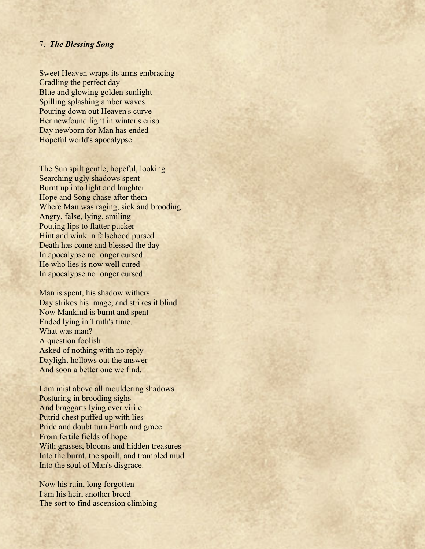### 7. *The Blessing Song*

Sweet Heaven wraps its arms embracing Cradling the perfect day Blue and glowing golden sunlight Spilling splashing amber waves Pouring down out Heaven's curve Her newfound light in winter's crisp Day newborn for Man has ended Hopeful world's apocalypse.

The Sun spilt gentle, hopeful, looking Searching ugly shadows spent Burnt up into light and laughter Hope and Song chase after them Where Man was raging, sick and brooding Angry, false, lying, smiling Pouting lips to flatter pucker Hint and wink in falsehood pursed Death has come and blessed the day In apocalypse no longer cursed He who lies is now well cured In apocalypse no longer cursed.

Man is spent, his shadow withers Day strikes his image, and strikes it blind Now Mankind is burnt and spent Ended lying in Truth's time. What was man? A question foolish Asked of nothing with no reply Daylight hollows out the answer And soon a better one we find.

I am mist above all mouldering shadows Posturing in brooding sighs And braggarts lying ever virile Putrid chest puffed up with lies Pride and doubt turn Earth and grace From fertile fields of hope With grasses, blooms and hidden treasures Into the burnt, the spoilt, and trampled mud Into the soul of Man's disgrace.

Now his ruin, long forgotten I am his heir, another breed The sort to find ascension climbing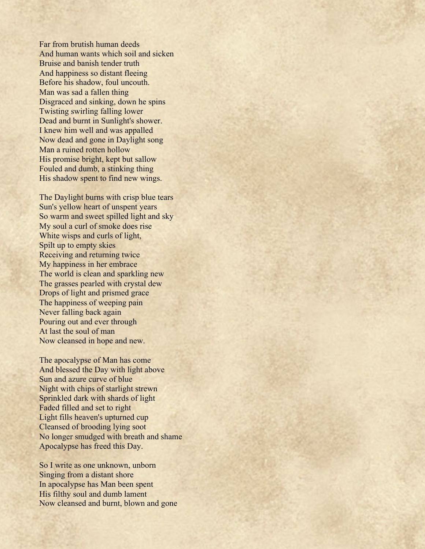Far from brutish human deeds And human wants which soil and sicken Bruise and banish tender truth And happiness so distant fleeing Before his shadow, foul uncouth. Man was sad a fallen thing Disgraced and sinking, down he spins Twisting swirling falling lower Dead and burnt in Sunlight's shower. I knew him well and was appalled Now dead and gone in Daylight song Man a ruined rotten hollow His promise bright, kept but sallow Fouled and dumb, a stinking thing His shadow spent to find new wings.

The Daylight burns with crisp blue tears Sun's yellow heart of unspent years So warm and sweet spilled light and sky My soul a curl of smoke does rise White wisps and curls of light, Spilt up to empty skies Receiving and returning twice My happiness in her embrace The world is clean and sparkling new The grasses pearled with crystal dew Drops of light and prismed grace The happiness of weeping pain Never falling back again Pouring out and ever through At last the soul of man Now cleansed in hope and new.

The apocalypse of Man has come And blessed the Day with light above Sun and azure curve of blue Night with chips of starlight strewn Sprinkled dark with shards of light Faded filled and set to right Light fills heaven's upturned cup Cleansed of brooding lying soot No longer smudged with breath and shame Apocalypse has freed this Day.

So I write as one unknown, unborn Singing from a distant shore In apocalypse has Man been spent His filthy soul and dumb lament Now cleansed and burnt, blown and gone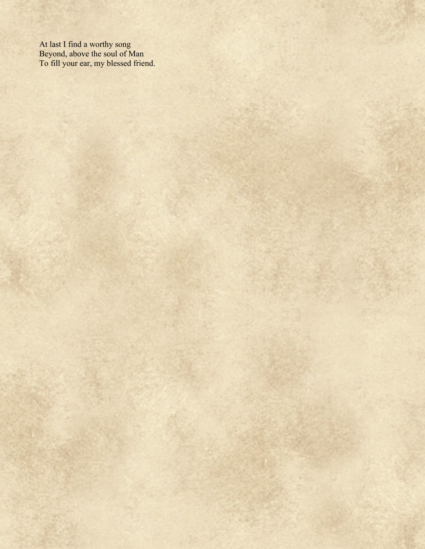At last I find a worthy song Beyond, above the soul of Man To fill your ear, my blessed friend.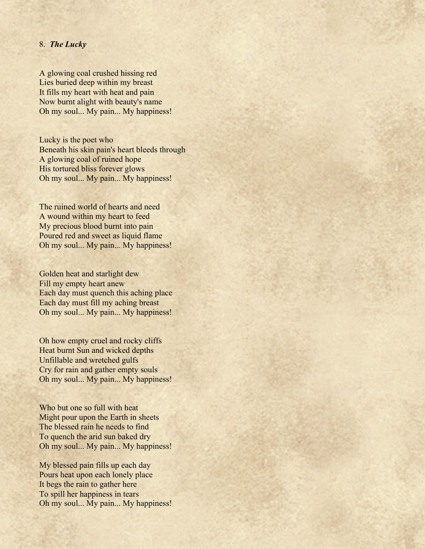## 8. *The Lucky*

A glowing coal crushed hissing red Lies buried deep within my breast It fills my heart with heat and pain Now burnt alight with beauty's name Oh my soul... My pain... My happiness!

Lucky is the poet who Beneath his skin pain's heart bleeds through A glowing coal of ruined hope His tortured bliss forever glows Oh my soul... My pain... My happiness!

The ruined world of hearts and need A wound within my heart to feed My precious blood burnt into pain Poured red and sweet as liquid flame Oh my soul... My pain... My happiness!

Golden heat and starlight dew Fill my empty heart anew Each day must quench this aching place Each day must fill my aching breast Oh my soul... My pain... My happiness!

Oh how empty cruel and rocky cliffs Heat burnt Sun and wicked depths Unfillable and wretched gulfs Cry for rain and gather empty souls Oh my soul... My pain... My happiness!

Who but one so full with heat Might pour upon the Earth in sheets The blessed rain he needs to find To quench the arid sun baked dry Oh my soul... My pain... My happiness!

My blessed pain fills up each day Pours heat upon each lonely place It begs the rain to gather here To spill her happiness in tears Oh my soul... My pain... My happiness!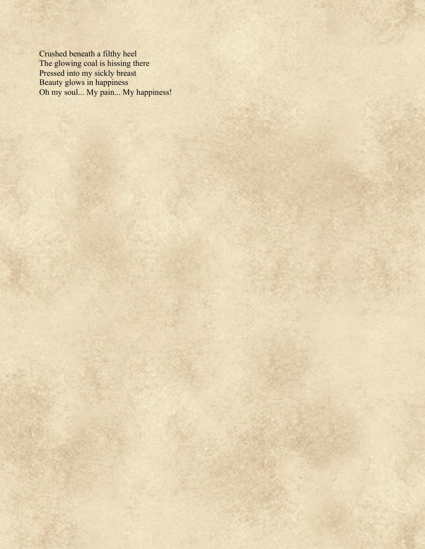Crushed beneath a filthy heel The glowing coal is hissing there Pressed into my sickly breast Beauty glows in happiness Oh my soul... My pain... My happiness!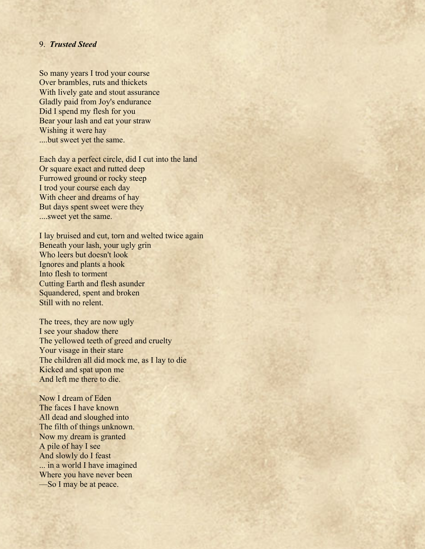## 9. *Trusted Steed*

So many years I trod your course Over brambles, ruts and thickets With lively gate and stout assurance Gladly paid from Joy's endurance Did I spend my flesh for you Bear your lash and eat your straw Wishing it were hay ....but sweet yet the same.

Each day a perfect circle, did I cut into the land Or square exact and rutted deep Furrowed ground or rocky steep I trod your course each day With cheer and dreams of hay But days spent sweet were they ....sweet yet the same.

I lay bruised and cut, torn and welted twice again Beneath your lash, your ugly grin Who leers but doesn't look Ignores and plants a hook Into flesh to torment Cutting Earth and flesh asunder Squandered, spent and broken Still with no relent.

The trees, they are now ugly I see your shadow there The yellowed teeth of greed and cruelty Your visage in their stare The children all did mock me, as I lay to die Kicked and spat upon me And left me there to die.

Now I dream of Eden The faces I have known All dead and sloughed into The filth of things unknown. Now my dream is granted A pile of hay I see And slowly do I feast ... in a world I have imagined Where you have never been ––So I may be at peace.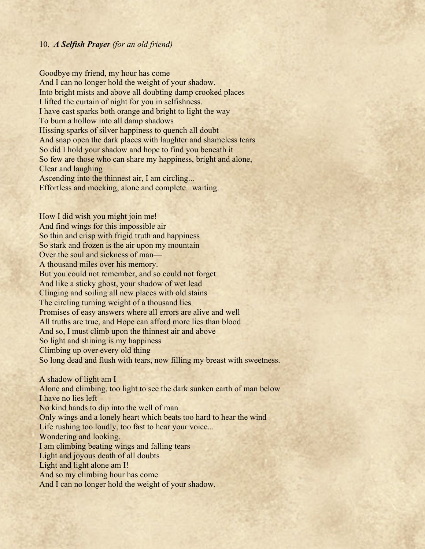# 10. *A Selfish Prayer (for an old friend)*

Goodbye my friend, my hour has come And I can no longer hold the weight of your shadow. Into bright mists and above all doubting damp crooked places I lifted the curtain of night for you in selfishness. I have cast sparks both orange and bright to light the way To burn a hollow into all damp shadows Hissing sparks of silver happiness to quench all doubt And snap open the dark places with laughter and shameless tears So did I hold your shadow and hope to find you beneath it So few are those who can share my happiness, bright and alone, Clear and laughing Ascending into the thinnest air, I am circling... Effortless and mocking, alone and complete...waiting.

How I did wish you might join me! And find wings for this impossible air So thin and crisp with frigid truth and happiness So stark and frozen is the air upon my mountain Over the soul and sickness of man– A thousand miles over his memory. But you could not remember, and so could not forget And like a sticky ghost, your shadow of wet lead Clinging and soiling all new places with old stains The circling turning weight of a thousand lies Promises of easy answers where all errors are alive and well All truths are true, and Hope can afford more lies than blood And so, I must climb upon the thinnest air and above So light and shining is my happiness Climbing up over every old thing So long dead and flush with tears, now filling my breast with sweetness. A shadow of light am I Alone and climbing, too light to see the dark sunken earth of man below I have no lies left No kind hands to dip into the well of man Only wings and a lonely heart which beats too hard to hear the wind Life rushing too loudly, too fast to hear your voice... Wondering and looking.

I am climbing beating wings and falling tears

Light and joyous death of all doubts

Light and light alone am I!

And so my climbing hour has come

And I can no longer hold the weight of your shadow.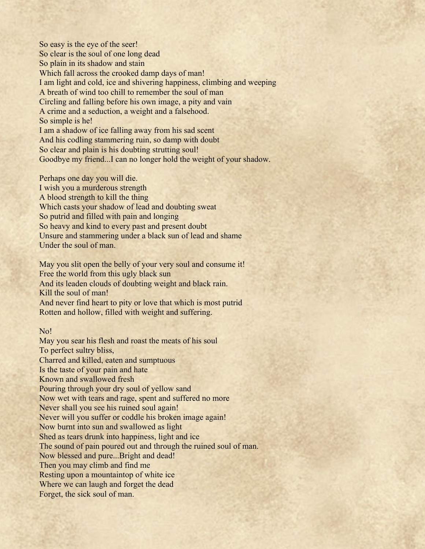So easy is the eye of the seer! So clear is the soul of one long dead So plain in its shadow and stain Which fall across the crooked damp days of man! I am light and cold, ice and shivering happiness, climbing and weeping A breath of wind too chill to remember the soul of man Circling and falling before his own image, a pity and vain A crime and a seduction, a weight and a falsehood. So simple is he! I am a shadow of ice falling away from his sad scent And his codling stammering ruin, so damp with doubt So clear and plain is his doubting strutting soul! Goodbye my friend...I can no longer hold the weight of your shadow.

Perhaps one day you will die. I wish you a murderous strength A blood strength to kill the thing Which casts your shadow of lead and doubting sweat So putrid and filled with pain and longing So heavy and kind to every past and present doubt Unsure and stammering under a black sun of lead and shame Under the soul of man.

May you slit open the belly of your very soul and consume it! Free the world from this ugly black sun And its leaden clouds of doubting weight and black rain. Kill the soul of man! And never find heart to pity or love that which is most putrid Rotten and hollow, filled with weight and suffering.

## No!

May you sear his flesh and roast the meats of his soul To perfect sultry bliss, Charred and killed, eaten and sumptuous Is the taste of your pain and hate Known and swallowed fresh Pouring through your dry soul of yellow sand Now wet with tears and rage, spent and suffered no more Never shall you see his ruined soul again! Never will you suffer or coddle his broken image again! Now burnt into sun and swallowed as light Shed as tears drunk into happiness, light and ice The sound of pain poured out and through the ruined soul of man. Now blessed and pure...Bright and dead! Then you may climb and find me Resting upon a mountaintop of white ice Where we can laugh and forget the dead Forget, the sick soul of man.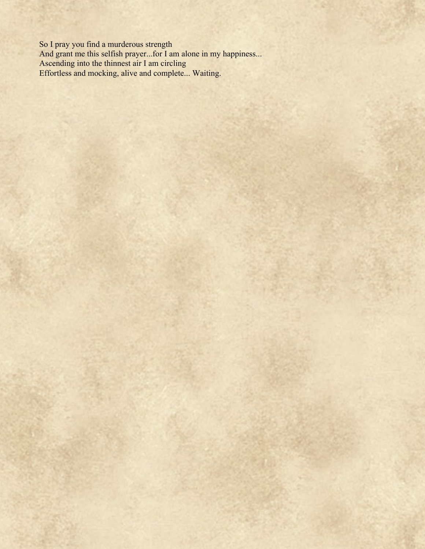So I pray you find a murderous strength And grant me this selfish prayer...for I am alone in my happiness... Ascending into the thinnest air I am circling Effortless and mocking, alive and complete... Waiting.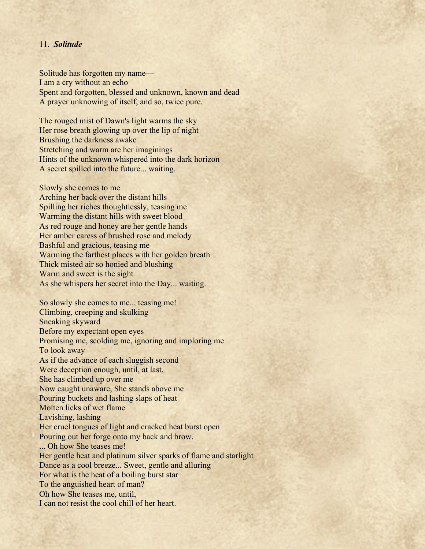## 11. *Solitude*

Solitude has forgotten my name–– I am a cry without an echo Spent and forgotten, blessed and unknown, known and dead A prayer unknowing of itself, and so, twice pure.

The rouged mist of Dawn's light warms the sky Her rose breath glowing up over the lip of night Brushing the darkness awake Stretching and warm are her imaginings Hints of the unknown whispered into the dark horizon A secret spilled into the future... waiting.

Slowly she comes to me Arching her back over the distant hills Spilling her riches thoughtlessly, teasing me Warming the distant hills with sweet blood As red rouge and honey are her gentle hands Her amber caress of brushed rose and melody Bashful and gracious, teasing me Warming the farthest places with her golden breath Thick misted air so honied and blushing Warm and sweet is the sight As she whispers her secret into the Day... waiting.

So slowly she comes to me... teasing me! Climbing, creeping and skulking Sneaking skyward Before my expectant open eyes Promising me, scolding me, ignoring and imploring me To look away As if the advance of each sluggish second Were deception enough, until, at last, She has climbed up over me Now caught unaware, She stands above me Pouring buckets and lashing slaps of heat Molten licks of wet flame Lavishing, lashing Her cruel tongues of light and cracked heat burst open Pouring out her forge onto my back and brow. ... Oh how She teases me! Her gentle heat and platinum silver sparks of flame and starlight Dance as a cool breeze... Sweet, gentle and alluring For what is the heat of a boiling burst star To the anguished heart of man? Oh how She teases me, until, I can not resist the cool chill of her heart.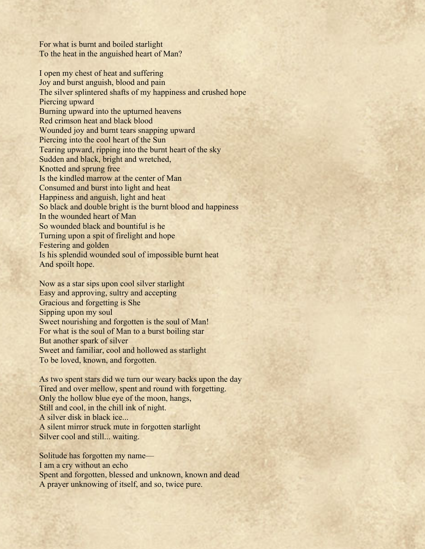For what is burnt and boiled starlight To the heat in the anguished heart of Man?

I open my chest of heat and suffering Joy and burst anguish, blood and pain The silver splintered shafts of my happiness and crushed hope Piercing upward Burning upward into the upturned heavens Red crimson heat and black blood Wounded joy and burnt tears snapping upward Piercing into the cool heart of the Sun Tearing upward, ripping into the burnt heart of the sky Sudden and black, bright and wretched, Knotted and sprung free Is the kindled marrow at the center of Man Consumed and burst into light and heat Happiness and anguish, light and heat So black and double bright is the burnt blood and happiness In the wounded heart of Man So wounded black and bountiful is he Turning upon a spit of firelight and hope Festering and golden Is his splendid wounded soul of impossible burnt heat And spoilt hope.

Now as a star sips upon cool silver starlight Easy and approving, sultry and accepting Gracious and forgetting is She Sipping upon my soul Sweet nourishing and forgotten is the soul of Man! For what is the soul of Man to a burst boiling star But another spark of silver Sweet and familiar, cool and hollowed as starlight To be loved, known, and forgotten.

As two spent stars did we turn our weary backs upon the day Tired and over mellow, spent and round with forgetting. Only the hollow blue eye of the moon, hangs, Still and cool, in the chill ink of night. A silver disk in black ice... A silent mirror struck mute in forgotten starlight Silver cool and still... waiting.

Solitude has forgotten my name–– I am a cry without an echo Spent and forgotten, blessed and unknown, known and dead A prayer unknowing of itself, and so, twice pure.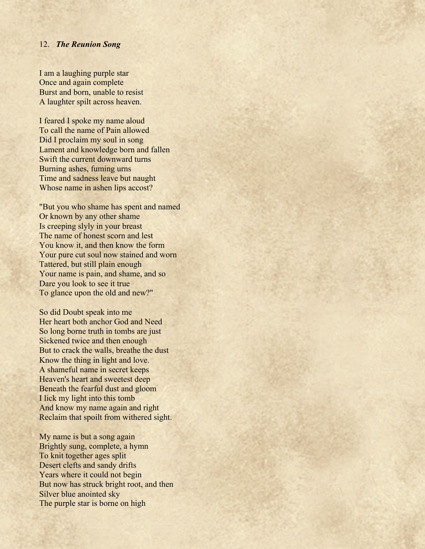### 12. *The Reunion Song*

I am a laughing purple star Once and again complete Burst and born, unable to resist A laughter spilt across heaven.

I feared I spoke my name aloud To call the name of Pain allowed Did I proclaim my soul in song Lament and knowledge born and fallen Swift the current downward turns Burning ashes, fuming urns Time and sadness leave but naught Whose name in ashen lips accost?

"But you who shame has spent and named Or known by any other shame Is creeping slyly in your breast The name of honest scorn and lest You know it, and then know the form Your pure cut soul now stained and worn Tattered, but still plain enough Your name is pain, and shame, and so Dare you look to see it true To glance upon the old and new?"

So did Doubt speak into me Her heart both anchor God and Need So long borne truth in tombs are just Sickened twice and then enough But to crack the walls, breathe the dust Know the thing in light and love. A shameful name in secret keeps Heaven's heart and sweetest deep Beneath the fearful dust and gloom I lick my light into this tomb And know my name again and right Reclaim that spoilt from withered sight.

My name is but a song again Brightly sung, complete, a hymn To knit together ages split Desert clefts and sandy drifts Years where it could not begin But now has struck bright root, and then Silver blue anointed sky The purple star is borne on high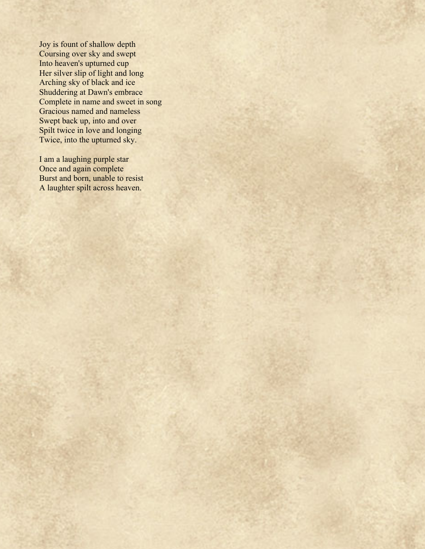Joy is fount of shallow depth Coursing over sky and swept Into heaven's upturned cup Her silver slip of light and long Arching sky of black and ice Shuddering at Dawn's embrace Complete in name and sweet in song Gracious named and nameless Swept back up, into and over Spilt twice in love and longing Twice, into the upturned sky.

I am a laughing purple star Once and again complete Burst and born, unable to resist A laughter spilt across heaven.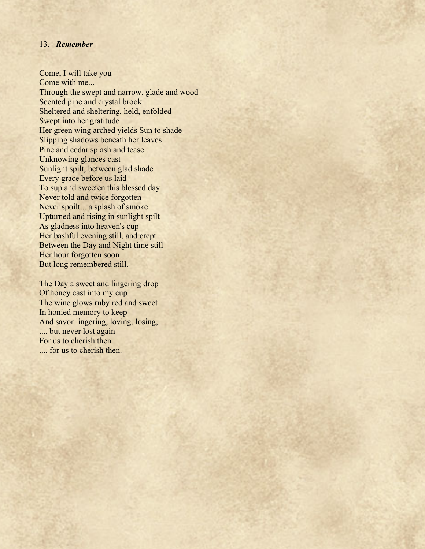## 13. *Remember*

Come, I will take you Come with me... Through the swept and narrow, glade and wood Scented pine and crystal brook Sheltered and sheltering, held, enfolded Swept into her gratitude Her green wing arched yields Sun to shade Slipping shadows beneath her leaves Pine and cedar splash and tease Unknowing glances cast Sunlight spilt, between glad shade Every grace before us laid To sup and sweeten this blessed day Never told and twice forgotten Never spoilt... a splash of smoke Upturned and rising in sunlight spilt As gladness into heaven's cup Her bashful evening still, and crept Between the Day and Night time still Her hour forgotten soon But long remembered still.

The Day a sweet and lingering drop Of honey cast into my cup The wine glows ruby red and sweet In honied memory to keep And savor lingering, loving, losing, .... but never lost again For us to cherish then .... for us to cherish then.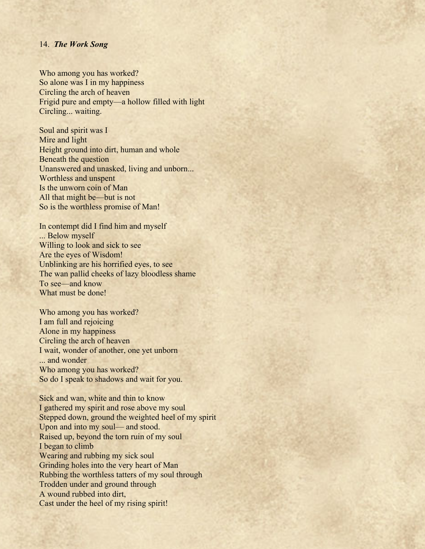### 14. *The Work Song*

Who among you has worked? So alone was I in my happiness Circling the arch of heaven Frigid pure and empty––a hollow filled with light Circling... waiting.

Soul and spirit was I Mire and light Height ground into dirt, human and whole Beneath the question Unanswered and unasked, living and unborn... Worthless and unspent Is the unworn coin of Man All that might be—but is not So is the worthless promise of Man!

In contempt did I find him and myself ... Below myself Willing to look and sick to see Are the eyes of Wisdom! Unblinking are his horrified eyes, to see The wan pallid cheeks of lazy bloodless shame To see––and know What must be done!

Who among you has worked? I am full and rejoicing Alone in my happiness Circling the arch of heaven I wait, wonder of another, one yet unborn ... and wonder Who among you has worked? So do I speak to shadows and wait for you.

Sick and wan, white and thin to know I gathered my spirit and rose above my soul Stepped down, ground the weighted heel of my spirit Upon and into my soul— and stood. Raised up, beyond the torn ruin of my soul I began to climb Wearing and rubbing my sick soul Grinding holes into the very heart of Man Rubbing the worthless tatters of my soul through Trodden under and ground through A wound rubbed into dirt, Cast under the heel of my rising spirit!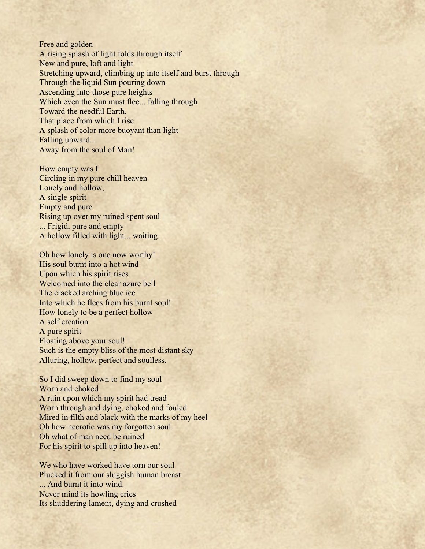Free and golden A rising splash of light folds through itself New and pure, loft and light Stretching upward, climbing up into itself and burst through Through the liquid Sun pouring down Ascending into those pure heights Which even the Sun must flee... falling through Toward the needful Earth. That place from which I rise A splash of color more buoyant than light Falling upward... Away from the soul of Man!

How empty was I Circling in my pure chill heaven Lonely and hollow, A single spirit Empty and pure Rising up over my ruined spent soul ... Frigid, pure and empty A hollow filled with light... waiting.

Oh how lonely is one now worthy! His soul burnt into a hot wind Upon which his spirit rises Welcomed into the clear azure bell The cracked arching blue ice Into which he flees from his burnt soul! How lonely to be a perfect hollow A self creation A pure spirit Floating above your soul! Such is the empty bliss of the most distant sky Alluring, hollow, perfect and soulless.

So I did sweep down to find my soul Worn and choked A ruin upon which my spirit had tread Worn through and dying, choked and fouled Mired in filth and black with the marks of my heel Oh how necrotic was my forgotten soul Oh what of man need be ruined For his spirit to spill up into heaven!

We who have worked have torn our soul Plucked it from our sluggish human breast ... And burnt it into wind. Never mind its howling cries Its shuddering lament, dying and crushed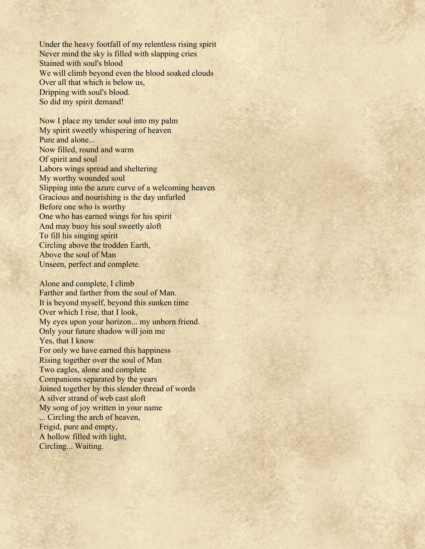Under the heavy footfall of my relentless rising spirit Never mind the sky is filled with slapping cries Stained with soul's blood We will climb beyond even the blood soaked clouds Over all that which is below us, Dripping with soul's blood. So did my spirit demand!

Now I place my tender soul into my palm My spirit sweetly whispering of heaven Pure and alone... Now filled, round and warm Of spirit and soul Labors wings spread and sheltering My worthy wounded soul Slipping into the azure curve of a welcoming heaven Gracious and nourishing is the day unfurled Before one who is worthy One who has earned wings for his spirit And may buoy his soul sweetly aloft To fill his singing spirit Circling above the trodden Earth, Above the soul of Man Unseen, perfect and complete.

Alone and complete, I climb Farther and farther from the soul of Man. It is beyond myself, beyond this sunken time Over which I rise, that I look, My eyes upon your horizon... my unborn friend. Only your future shadow will join me Yes, that I know For only we have earned this happiness Rising together over the soul of Man Two eagles, alone and complete Companions separated by the years Joined together by this slender thread of words A silver strand of web cast aloft My song of joy written in your name ... Circling the arch of heaven, Frigid, pure and empty, A hollow filled with light, Circling... Waiting.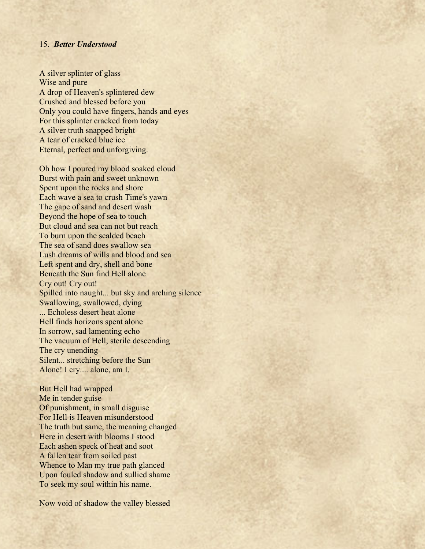### 15. *Better Understood*

A silver splinter of glass Wise and pure A drop of Heaven's splintered dew Crushed and blessed before you Only you could have fingers, hands and eyes For this splinter cracked from today A silver truth snapped bright A tear of cracked blue ice Eternal, perfect and unforgiving.

Oh how I poured my blood soaked cloud Burst with pain and sweet unknown Spent upon the rocks and shore Each wave a sea to crush Time's yawn The gape of sand and desert wash Beyond the hope of sea to touch But cloud and sea can not but reach To burn upon the scalded beach The sea of sand does swallow sea Lush dreams of wills and blood and sea Left spent and dry, shell and bone Beneath the Sun find Hell alone Cry out! Cry out! Spilled into naught... but sky and arching silence Swallowing, swallowed, dying ... Echoless desert heat alone Hell finds horizons spent alone In sorrow, sad lamenting echo The vacuum of Hell, sterile descending The cry unending Silent... stretching before the Sun Alone! I cry.... alone, am I.

But Hell had wrapped Me in tender guise Of punishment, in small disguise For Hell is Heaven misunderstood The truth but same, the meaning changed Here in desert with blooms I stood Each ashen speck of heat and soot A fallen tear from soiled past Whence to Man my true path glanced Upon fouled shadow and sullied shame To seek my soul within his name.

Now void of shadow the valley blessed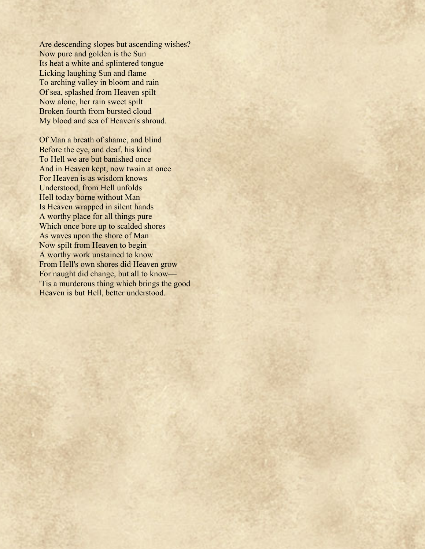Are descending slopes but ascending wishes? Now pure and golden is the Sun Its heat a white and splintered tongue Licking laughing Sun and flame To arching valley in bloom and rain Of sea, splashed from Heaven spilt Now alone, her rain sweet spilt Broken fourth from bursted cloud My blood and sea of Heaven's shroud.

Of Man a breath of shame, and blind Before the eye, and deaf, his kind To Hell we are but banished once And in Heaven kept, now twain at once For Heaven is as wisdom knows Understood, from Hell unfolds Hell today borne without Man Is Heaven wrapped in silent hands A worthy place for all things pure Which once bore up to scalded shores As waves upon the shore of Man Now spilt from Heaven to begin A worthy work unstained to know From Hell's own shores did Heaven grow For naught did change, but all to know— 'Tis a murderous thing which brings the good Heaven is but Hell, better understood.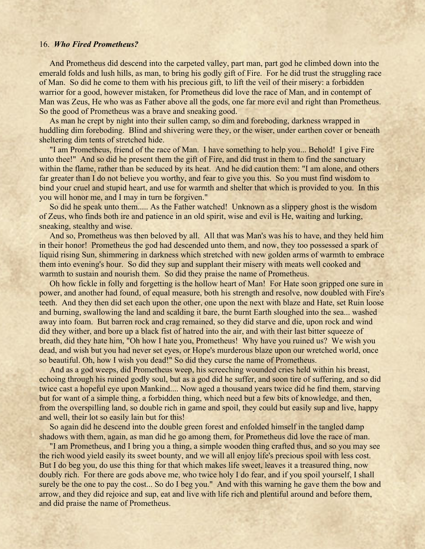#### 16. *Who Fired Prometheus?*

 And Prometheus did descend into the carpeted valley, part man, part god he climbed down into the emerald folds and lush hills, as man, to bring his godly gift of Fire. For he did trust the struggling race of Man. So did he come to them with his precious gift, to lift the veil of their misery: a forbidden warrior for a good, however mistaken, for Prometheus did love the race of Man, and in contempt of Man was Zeus, He who was as Father above all the gods, one far more evil and right than Prometheus. So the good of Prometheus was a brave and sneaking good.

 As man he crept by night into their sullen camp, so dim and foreboding, darkness wrapped in huddling dim foreboding. Blind and shivering were they, or the wiser, under earthen cover or beneath sheltering dim tents of stretched hide.

 "I am Prometheus, friend of the race of Man. I have something to help you... Behold! I give Fire unto thee!" And so did he present them the gift of Fire, and did trust in them to find the sanctuary within the flame, rather than be seduced by its heat. And he did caution them: "I am alone, and others far greater than I do not believe you worthy, and fear to give you this. So you must find wisdom to bind your cruel and stupid heart, and use for warmth and shelter that which is provided to you. In this you will honor me, and I may in turn be forgiven."

 So did he speak unto them..... As the Father watched! Unknown as a slippery ghost is the wisdom of Zeus, who finds both ire and patience in an old spirit, wise and evil is He, waiting and lurking, sneaking, stealthy and wise.

 And so, Prometheus was then beloved by all. All that was Man's was his to have, and they held him in their honor! Prometheus the god had descended unto them, and now, they too possessed a spark of liquid rising Sun, shimmering in darkness which stretched with new golden arms of warmth to embrace them into evening's hour. So did they sup and supplant their misery with meats well cooked and warmth to sustain and nourish them. So did they praise the name of Prometheus.

 Oh how fickle in folly and forgetting is the hollow heart of Man! For Hate soon gripped one sure in power, and another had found, of equal measure, both his strength and resolve, now doubled with Fire's teeth. And they then did set each upon the other, one upon the next with blaze and Hate, set Ruin loose and burning, swallowing the land and scalding it bare, the burnt Earth sloughed into the sea... washed away into foam. But barren rock and crag remained, so they did starve and die, upon rock and wind did they wither, and bore up a black fist of hatred into the air, and with their last bitter squeeze of breath, did they hate him, "Oh how I hate you, Prometheus! Why have you ruined us? We wish you dead, and wish but you had never set eyes, or Hope's murderous blaze upon our wretched world, once so beautiful. Oh, how I wish you dead!" So did they curse the name of Prometheus.

 And as a god weeps, did Prometheus weep, his screeching wounded cries held within his breast, echoing through his ruined godly soul, but as a god did he suffer, and soon tire of suffering, and so did twice cast a hopeful eye upon Mankind.... Now aged a thousand years twice did he find them, starving but for want of a simple thing, a forbidden thing, which need but a few bits of knowledge, and then, from the overspilling land, so double rich in game and spoil, they could but easily sup and live, happy and well, their lot so easily lain but for this!

 So again did he descend into the double green forest and enfolded himself in the tangled damp shadows with them, again, as man did he go among them, for Prometheus did love the race of man.

 "I am Prometheus, and I bring you a thing, a simple wooden thing crafted thus, and so you may see the rich wood yield easily its sweet bounty, and we will all enjoy life's precious spoil with less cost. But I do beg you, do use this thing for that which makes life sweet, leaves it a treasured thing, now doubly rich. For there are gods above me, who twice holy I do fear, and if you spoil yourself, I shall surely be the one to pay the cost... So do I beg you." And with this warning he gave them the bow and arrow, and they did rejoice and sup, eat and live with life rich and plentiful around and before them, and did praise the name of Prometheus.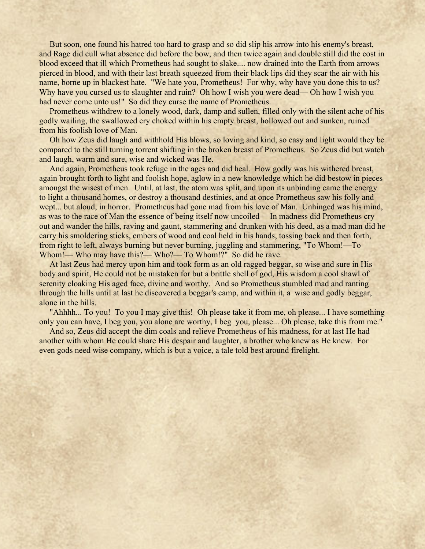But soon, one found his hatred too hard to grasp and so did slip his arrow into his enemy's breast, and Rage did cull what absence did before the bow, and then twice again and double still did the cost in blood exceed that ill which Prometheus had sought to slake.... now drained into the Earth from arrows pierced in blood, and with their last breath squeezed from their black lips did they scar the air with his name, borne up in blackest hate. "We hate you, Prometheus! For why, why have you done this to us? Why have you cursed us to slaughter and ruin? Oh how I wish you were dead— Oh how I wish you had never come unto us!" So did they curse the name of Prometheus.

 Prometheus withdrew to a lonely wood, dark, damp and sullen, filled only with the silent ache of his godly wailing, the swallowed cry choked within his empty breast, hollowed out and sunken, ruined from his foolish love of Man.

 Oh how Zeus did laugh and withhold His blows, so loving and kind, so easy and light would they be compared to the still turning torrent shifting in the broken breast of Prometheus. So Zeus did but watch and laugh, warm and sure, wise and wicked was He.

 And again, Prometheus took refuge in the ages and did heal. How godly was his withered breast, again brought forth to light and foolish hope, aglow in a new knowledge which he did bestow in pieces amongst the wisest of men. Until, at last, the atom was split, and upon its unbinding came the energy to light a thousand homes, or destroy a thousand destinies, and at once Prometheus saw his folly and wept... but aloud, in horror. Prometheus had gone mad from his love of Man. Unhinged was his mind, as was to the race of Man the essence of being itself now uncoiled–– In madness did Prometheus cry out and wander the hills, raving and gaunt, stammering and drunken with his deed, as a mad man did he carry his smoldering sticks, embers of wood and coal held in his hands, tossing back and then forth, from right to left, always burning but never burning, juggling and stammering, "To Whom!—To Whom!— Who may have this?— Who?— To Whom!?" So did he rave.

 At last Zeus had mercy upon him and took form as an old ragged beggar, so wise and sure in His body and spirit, He could not be mistaken for but a brittle shell of god, His wisdom a cool shawl of serenity cloaking His aged face, divine and worthy. And so Prometheus stumbled mad and ranting through the hills until at last he discovered a beggar's camp, and within it, a wise and godly beggar, alone in the hills.

 "Ahhhh... To you! To you I may give this! Oh please take it from me, oh please... I have something only you can have, I beg you, you alone are worthy, I beg you, please... Oh please, take this from me."

 And so, Zeus did accept the dim coals and relieve Prometheus of his madness, for at last He had another with whom He could share His despair and laughter, a brother who knew as He knew. For even gods need wise company, which is but a voice, a tale told best around firelight.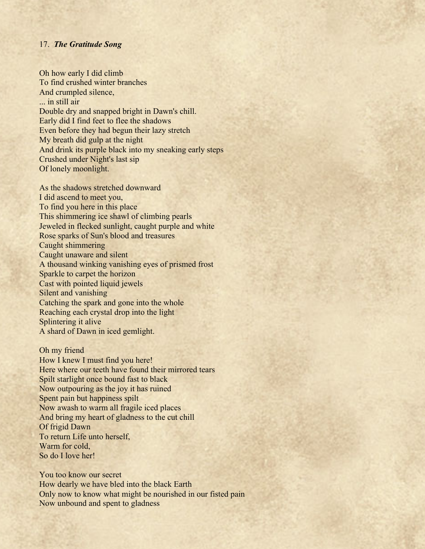## 17. *The Gratitude Song*

Oh how early I did climb To find crushed winter branches And crumpled silence, ... in still air Double dry and snapped bright in Dawn's chill. Early did I find feet to flee the shadows Even before they had begun their lazy stretch My breath did gulp at the night And drink its purple black into my sneaking early steps Crushed under Night's last sip Of lonely moonlight.

As the shadows stretched downward I did ascend to meet you, To find you here in this place This shimmering ice shawl of climbing pearls Jeweled in flecked sunlight, caught purple and white Rose sparks of Sun's blood and treasures Caught shimmering Caught unaware and silent A thousand winking vanishing eyes of prismed frost Sparkle to carpet the horizon Cast with pointed liquid jewels Silent and vanishing Catching the spark and gone into the whole Reaching each crystal drop into the light Splintering it alive A shard of Dawn in iced gemlight.

Oh my friend How I knew I must find you here! Here where our teeth have found their mirrored tears Spilt starlight once bound fast to black Now outpouring as the joy it has ruined Spent pain but happiness spilt Now awash to warm all fragile iced places And bring my heart of gladness to the cut chill Of frigid Dawn To return Life unto herself, Warm for cold, So do I love her!

You too know our secret How dearly we have bled into the black Earth Only now to know what might be nourished in our fisted pain Now unbound and spent to gladness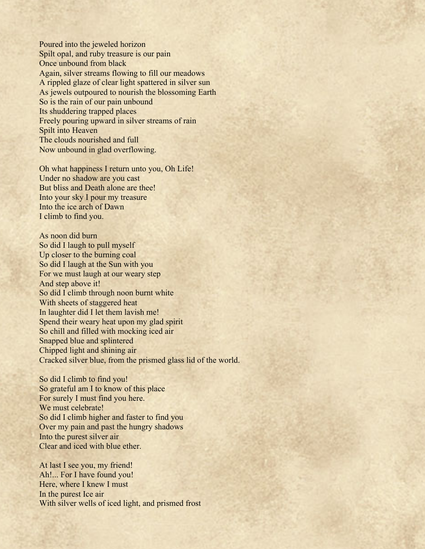Poured into the jeweled horizon Spilt opal, and ruby treasure is our pain Once unbound from black Again, silver streams flowing to fill our meadows A rippled glaze of clear light spattered in silver sun As jewels outpoured to nourish the blossoming Earth So is the rain of our pain unbound Its shuddering trapped places Freely pouring upward in silver streams of rain Spilt into Heaven The clouds nourished and full Now unbound in glad overflowing.

Oh what happiness I return unto you, Oh Life! Under no shadow are you cast But bliss and Death alone are thee! Into your sky I pour my treasure Into the ice arch of Dawn I climb to find you.

As noon did burn So did I laugh to pull myself Up closer to the burning coal So did I laugh at the Sun with you For we must laugh at our weary step And step above it! So did I climb through noon burnt white With sheets of staggered heat In laughter did I let them lavish me! Spend their weary heat upon my glad spirit So chill and filled with mocking iced air Snapped blue and splintered Chipped light and shining air Cracked silver blue, from the prismed glass lid of the world.

So did I climb to find you! So grateful am I to know of this place For surely I must find you here. We must celebrate! So did I climb higher and faster to find you Over my pain and past the hungry shadows Into the purest silver air Clear and iced with blue ether.

At last I see you, my friend! Ah!... For I have found you! Here, where I knew I must In the purest Ice air With silver wells of iced light, and prismed frost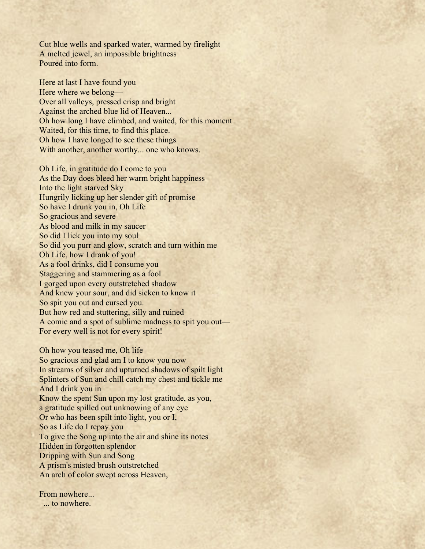Cut blue wells and sparked water, warmed by firelight A melted jewel, an impossible brightness Poured into form.

Here at last I have found you Here where we belong— Over all valleys, pressed crisp and bright Against the arched blue lid of Heaven... Oh how long I have climbed, and waited, for this moment Waited, for this time, to find this place. Oh how I have longed to see these things With another, another worthy... one who knows.

Oh Life, in gratitude do I come to you As the Day does bleed her warm bright happiness Into the light starved Sky Hungrily licking up her slender gift of promise So have I drunk you in, Oh Life So gracious and severe As blood and milk in my saucer So did I lick you into my soul So did you purr and glow, scratch and turn within me Oh Life, how I drank of you! As a fool drinks, did I consume you Staggering and stammering as a fool I gorged upon every outstretched shadow And knew your sour, and did sicken to know it So spit you out and cursed you. But how red and stuttering, silly and ruined A comic and a spot of sublime madness to spit you out— For every well is not for every spirit!

Oh how you teased me, Oh life So gracious and glad am I to know you now In streams of silver and upturned shadows of spilt light Splinters of Sun and chill catch my chest and tickle me And I drink you in Know the spent Sun upon my lost gratitude, as you, a gratitude spilled out unknowing of any eye Or who has been spilt into light, you or I, So as Life do I repay you To give the Song up into the air and shine its notes Hidden in forgotten splendor Dripping with Sun and Song A prism's misted brush outstretched An arch of color swept across Heaven,

From nowhere. ... to nowhere.